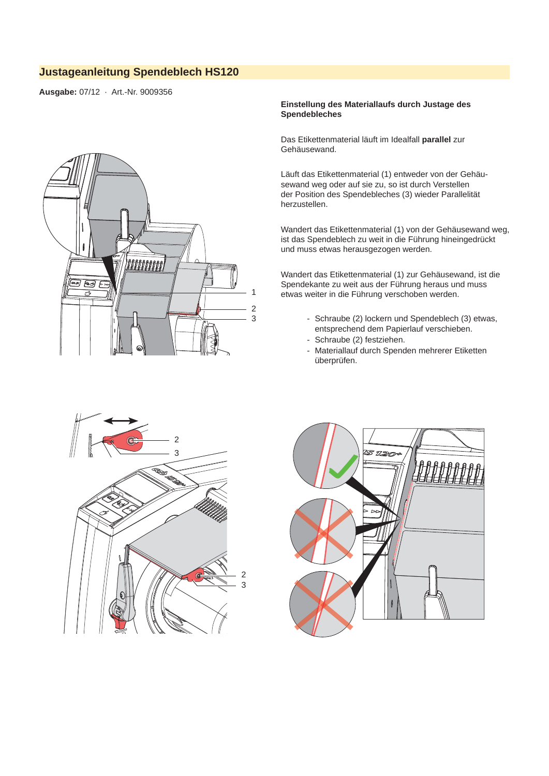## **Justageanleitung Spendeblech HS120**

**Ausgabe:** 07/12 · Art.-Nr. 9009356



## **Einstellung des Materiallaufs durch Justage des Spendebleches**

Das Etikettenmaterial läuft im Idealfall **parallel** zur Gehäusewand.

Läuft das Etikettenmaterial (1) entweder von der Gehäusewand weg oder auf sie zu, so ist durch Verstellen der Position des Spendebleches (3) wieder Parallelität herzustellen.

Wandert das Etikettenmaterial (1) von der Gehäusewand weg, ist das Spendeblech zu weit in die Führung hineingedrückt und muss etwas herausgezogen werden.

Wandert das Etikettenmaterial (1) zur Gehäusewand, ist die Spendekante zu weit aus der Führung heraus und muss etwas weiter in die Führung verschoben werden.

- Schraube (2) lockern und Spendeblech (3) etwas, entsprechend dem Papierlauf verschieben.
- Schraube (2) festziehen.
- Materiallauf durch Spenden mehrerer Etiketten überprüfen.



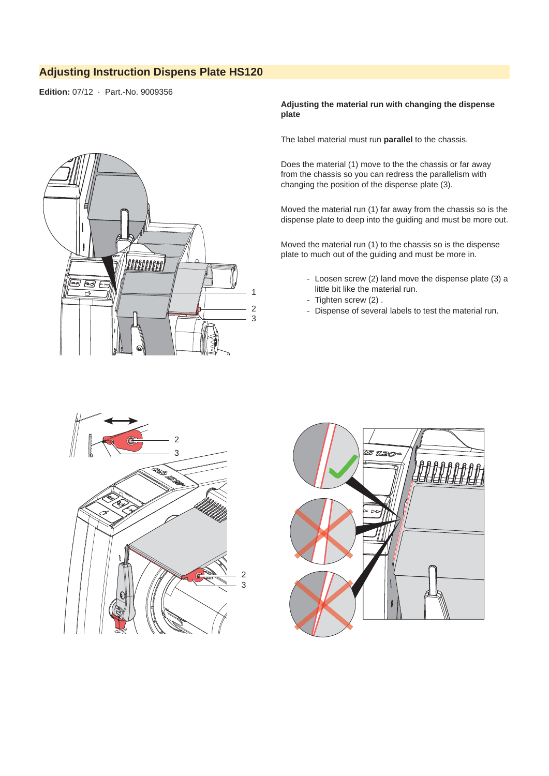## **Adjusting Instruction Dispens Plate HS120**

**Edition:** 07/12 · Part.-No. 9009356



**Adjusting the material run with changing the dispense plate**

The label material must run **parallel** to the chassis.

Does the material (1) move to the the chassis or far away from the chassis so you can redress the parallelism with changing the position of the dispense plate (3).

Moved the material run (1) far away from the chassis so is the dispense plate to deep into the guiding and must be more out.

Moved the material run (1) to the chassis so is the dispense plate to much out of the guiding and must be more in.

- Loosen screw (2) land move the dispense plate (3) a little bit like the material run.
- Tighten screw (2) .
- Dispense of several labels to test the material run.